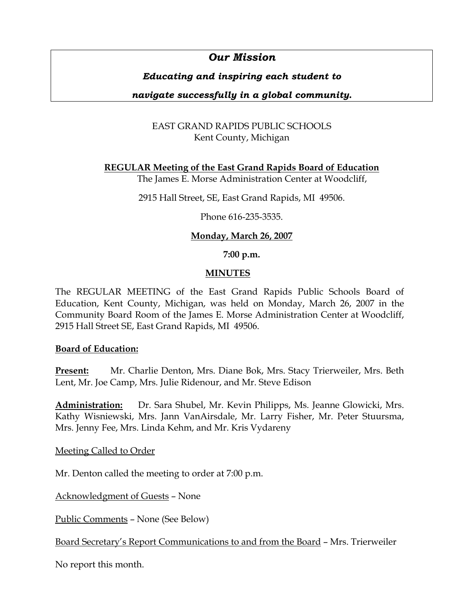# *Our Mission*

# *Educating and inspiring each student to*

# *navigate successfully in a global community.*

# EAST GRAND RAPIDS PUBLIC SCHOOLS Kent County, Michigan

**REGULAR Meeting of the East Grand Rapids Board of Education**

The James E. Morse Administration Center at Woodcliff,

2915 Hall Street, SE, East Grand Rapids, MI 49506.

Phone 616-235-3535.

# **Monday, March 26, 2007**

### **7:00 p.m.**

# **MINUTES**

The REGULAR MEETING of the East Grand Rapids Public Schools Board of Education, Kent County, Michigan, was held on Monday, March 26, 2007 in the Community Board Room of the James E. Morse Administration Center at Woodcliff, 2915 Hall Street SE, East Grand Rapids, MI 49506.

### **Board of Education:**

**Present:** Mr. Charlie Denton, Mrs. Diane Bok, Mrs. Stacy Trierweiler, Mrs. Beth Lent, Mr. Joe Camp, Mrs. Julie Ridenour, and Mr. Steve Edison

**Administration:** Dr. Sara Shubel, Mr. Kevin Philipps, Ms. Jeanne Glowicki, Mrs. Kathy Wisniewski, Mrs. Jann VanAirsdale, Mr. Larry Fisher, Mr. Peter Stuursma, Mrs. Jenny Fee, Mrs. Linda Kehm, and Mr. Kris Vydareny

Meeting Called to Order

Mr. Denton called the meeting to order at 7:00 p.m.

Acknowledgment of Guests – None

Public Comments – None (See Below)

Board Secretary's Report Communications to and from the Board – Mrs. Trierweiler

No report this month.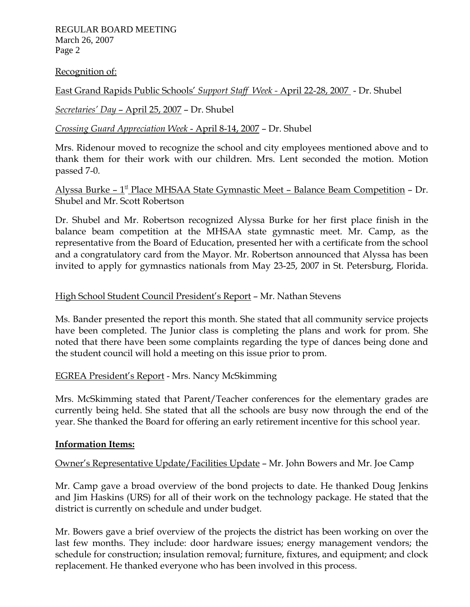REGULAR BOARD MEETING March 26, 2007 Page 2

### Recognition of:

East Grand Rapids Public Schools' *Support Staff Week -* April 22-28, 2007 - Dr. Shubel

# *Secretaries' Day* – April 25, 2007 – Dr. Shubel

# *Crossing Guard Appreciation Week* - April 8-14, 2007 – Dr. Shubel

Mrs. Ridenour moved to recognize the school and city employees mentioned above and to thank them for their work with our children. Mrs. Lent seconded the motion. Motion passed 7-0.

# Alyssa Burke –  $1^{\text{st}}$  Place MHSAA State Gymnastic Meet – Balance Beam Competition – Dr. Shubel and Mr. Scott Robertson

Dr. Shubel and Mr. Robertson recognized Alyssa Burke for her first place finish in the balance beam competition at the MHSAA state gymnastic meet. Mr. Camp, as the representative from the Board of Education, presented her with a certificate from the school and a congratulatory card from the Mayor. Mr. Robertson announced that Alyssa has been invited to apply for gymnastics nationals from May 23-25, 2007 in St. Petersburg, Florida.

# High School Student Council President's Report – Mr. Nathan Stevens

Ms. Bander presented the report this month. She stated that all community service projects have been completed. The Junior class is completing the plans and work for prom. She noted that there have been some complaints regarding the type of dances being done and the student council will hold a meeting on this issue prior to prom.

# EGREA President's Report - Mrs. Nancy McSkimming

Mrs. McSkimming stated that Parent/Teacher conferences for the elementary grades are currently being held. She stated that all the schools are busy now through the end of the year. She thanked the Board for offering an early retirement incentive for this school year.

# **Information Items:**

Owner's Representative Update/Facilities Update – Mr. John Bowers and Mr. Joe Camp

Mr. Camp gave a broad overview of the bond projects to date. He thanked Doug Jenkins and Jim Haskins (URS) for all of their work on the technology package. He stated that the district is currently on schedule and under budget.

Mr. Bowers gave a brief overview of the projects the district has been working on over the last few months. They include: door hardware issues; energy management vendors; the schedule for construction; insulation removal; furniture, fixtures, and equipment; and clock replacement. He thanked everyone who has been involved in this process.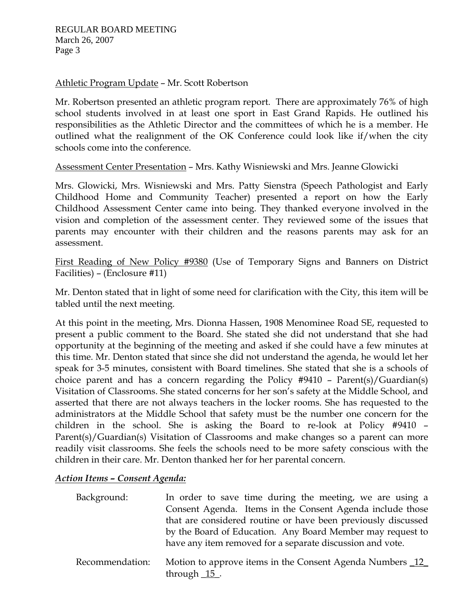Athletic Program Update – Mr. Scott Robertson

Mr. Robertson presented an athletic program report. There are approximately 76% of high school students involved in at least one sport in East Grand Rapids. He outlined his responsibilities as the Athletic Director and the committees of which he is a member. He outlined what the realignment of the OK Conference could look like if/when the city schools come into the conference.

Assessment Center Presentation – Mrs. Kathy Wisniewski and Mrs. Jeanne Glowicki

Mrs. Glowicki, Mrs. Wisniewski and Mrs. Patty Sienstra (Speech Pathologist and Early Childhood Home and Community Teacher) presented a report on how the Early Childhood Assessment Center came into being. They thanked everyone involved in the vision and completion of the assessment center. They reviewed some of the issues that parents may encounter with their children and the reasons parents may ask for an assessment.

First Reading of New Policy #9380 (Use of Temporary Signs and Banners on District Facilities) – (Enclosure #11)

Mr. Denton stated that in light of some need for clarification with the City, this item will be tabled until the next meeting.

At this point in the meeting, Mrs. Dionna Hassen, 1908 Menominee Road SE, requested to present a public comment to the Board. She stated she did not understand that she had opportunity at the beginning of the meeting and asked if she could have a few minutes at this time. Mr. Denton stated that since she did not understand the agenda, he would let her speak for 3-5 minutes, consistent with Board timelines. She stated that she is a schools of choice parent and has a concern regarding the Policy #9410 – Parent(s)/Guardian(s) Visitation of Classrooms. She stated concerns for her son's safety at the Middle School, and asserted that there are not always teachers in the locker rooms. She has requested to the administrators at the Middle School that safety must be the number one concern for the children in the school. She is asking the Board to re-look at Policy #9410 – Parent(s)/Guardian(s) Visitation of Classrooms and make changes so a parent can more readily visit classrooms. She feels the schools need to be more safety conscious with the children in their care. Mr. Denton thanked her for her parental concern.

# *Action Items – Consent Agenda:*

| Background:     | In order to save time during the meeting, we are using a                   |
|-----------------|----------------------------------------------------------------------------|
|                 | Consent Agenda. Items in the Consent Agenda include those                  |
|                 | that are considered routine or have been previously discussed              |
|                 | by the Board of Education. Any Board Member may request to                 |
|                 | have any item removed for a separate discussion and vote.                  |
| Recommendation: | Motion to approve items in the Consent Agenda Numbers 12<br>through $15$ . |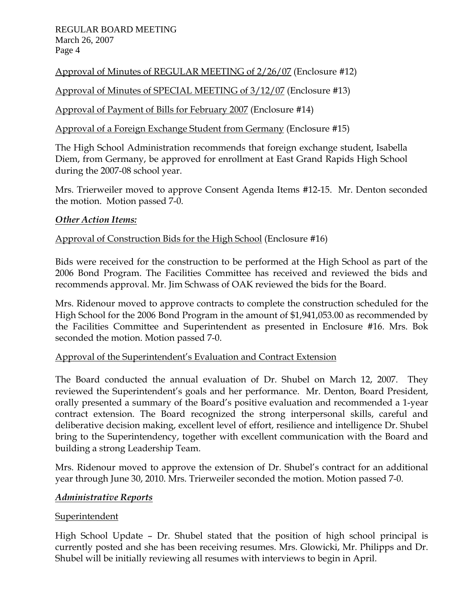REGULAR BOARD MEETING March 26, 2007 Page 4

Approval of Minutes of REGULAR MEETING of 2/26/07 (Enclosure #12)

Approval of Minutes of SPECIAL MEETING of 3/12/07 (Enclosure #13)

Approval of Payment of Bills for February 2007 (Enclosure #14)

Approval of a Foreign Exchange Student from Germany (Enclosure #15)

The High School Administration recommends that foreign exchange student, Isabella Diem, from Germany, be approved for enrollment at East Grand Rapids High School during the 2007-08 school year.

Mrs. Trierweiler moved to approve Consent Agenda Items #12-15. Mr. Denton seconded the motion. Motion passed 7-0.

# *Other Action Items:*

# Approval of Construction Bids for the High School (Enclosure #16)

Bids were received for the construction to be performed at the High School as part of the 2006 Bond Program. The Facilities Committee has received and reviewed the bids and recommends approval. Mr. Jim Schwass of OAK reviewed the bids for the Board.

Mrs. Ridenour moved to approve contracts to complete the construction scheduled for the High School for the 2006 Bond Program in the amount of \$1,941,053.00 as recommended by the Facilities Committee and Superintendent as presented in Enclosure #16. Mrs. Bok seconded the motion. Motion passed 7-0.

# Approval of the Superintendent's Evaluation and Contract Extension

The Board conducted the annual evaluation of Dr. Shubel on March 12, 2007. They reviewed the Superintendent's goals and her performance. Mr. Denton, Board President, orally presented a summary of the Board's positive evaluation and recommended a 1-year contract extension. The Board recognized the strong interpersonal skills, careful and deliberative decision making, excellent level of effort, resilience and intelligence Dr. Shubel bring to the Superintendency, together with excellent communication with the Board and building a strong Leadership Team.

Mrs. Ridenour moved to approve the extension of Dr. Shubel's contract for an additional year through June 30, 2010. Mrs. Trierweiler seconded the motion. Motion passed 7-0.

# *Administrative Reports*

# **Superintendent**

High School Update – Dr. Shubel stated that the position of high school principal is currently posted and she has been receiving resumes. Mrs. Glowicki, Mr. Philipps and Dr. Shubel will be initially reviewing all resumes with interviews to begin in April.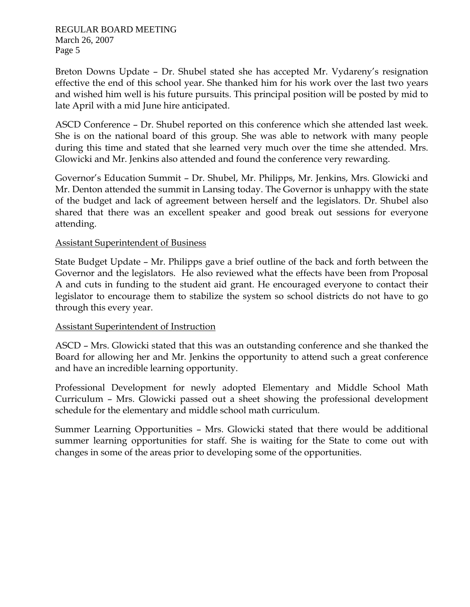Breton Downs Update – Dr. Shubel stated she has accepted Mr. Vydareny's resignation effective the end of this school year. She thanked him for his work over the last two years and wished him well is his future pursuits. This principal position will be posted by mid to late April with a mid June hire anticipated.

ASCD Conference – Dr. Shubel reported on this conference which she attended last week. She is on the national board of this group. She was able to network with many people during this time and stated that she learned very much over the time she attended. Mrs. Glowicki and Mr. Jenkins also attended and found the conference very rewarding.

Governor's Education Summit – Dr. Shubel, Mr. Philipps, Mr. Jenkins, Mrs. Glowicki and Mr. Denton attended the summit in Lansing today. The Governor is unhappy with the state of the budget and lack of agreement between herself and the legislators. Dr. Shubel also shared that there was an excellent speaker and good break out sessions for everyone attending.

# Assistant Superintendent of Business

State Budget Update – Mr. Philipps gave a brief outline of the back and forth between the Governor and the legislators. He also reviewed what the effects have been from Proposal A and cuts in funding to the student aid grant. He encouraged everyone to contact their legislator to encourage them to stabilize the system so school districts do not have to go through this every year.

# Assistant Superintendent of Instruction

ASCD – Mrs. Glowicki stated that this was an outstanding conference and she thanked the Board for allowing her and Mr. Jenkins the opportunity to attend such a great conference and have an incredible learning opportunity.

Professional Development for newly adopted Elementary and Middle School Math Curriculum – Mrs. Glowicki passed out a sheet showing the professional development schedule for the elementary and middle school math curriculum.

Summer Learning Opportunities – Mrs. Glowicki stated that there would be additional summer learning opportunities for staff. She is waiting for the State to come out with changes in some of the areas prior to developing some of the opportunities.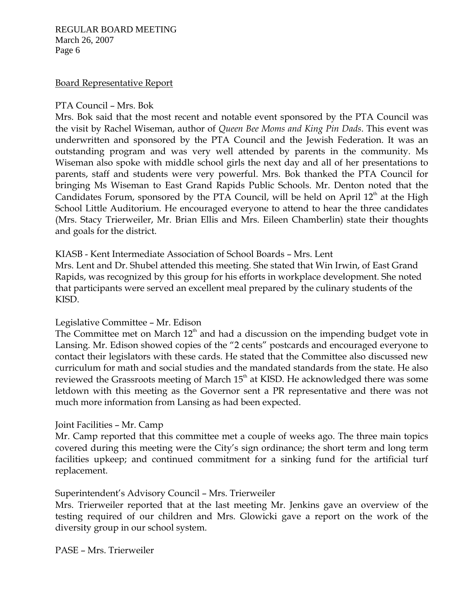#### REGULAR BOARD MEETING March 26, 2007 Page 6

### Board Representative Report

#### PTA Council – Mrs. Bok

Mrs. Bok said that the most recent and notable event sponsored by the PTA Council was the visit by Rachel Wiseman, author of *Queen Bee Moms and King Pin Dads*. This event was underwritten and sponsored by the PTA Council and the Jewish Federation. It was an outstanding program and was very well attended by parents in the community. Ms Wiseman also spoke with middle school girls the next day and all of her presentations to parents, staff and students were very powerful. Mrs. Bok thanked the PTA Council for bringing Ms Wiseman to East Grand Rapids Public Schools. Mr. Denton noted that the Candidates Forum, sponsored by the PTA Council, will be held on April  $12<sup>th</sup>$  at the High School Little Auditorium. He encouraged everyone to attend to hear the three candidates (Mrs. Stacy Trierweiler, Mr. Brian Ellis and Mrs. Eileen Chamberlin) state their thoughts and goals for the district.

#### KIASB - Kent Intermediate Association of School Boards – Mrs. Lent

Mrs. Lent and Dr. Shubel attended this meeting. She stated that Win Irwin, of East Grand Rapids, was recognized by this group for his efforts in workplace development. She noted that participants were served an excellent meal prepared by the culinary students of the KISD.

### Legislative Committee – Mr. Edison

The Committee met on March  $12<sup>th</sup>$  and had a discussion on the impending budget vote in Lansing. Mr. Edison showed copies of the "2 cents" postcards and encouraged everyone to contact their legislators with these cards. He stated that the Committee also discussed new curriculum for math and social studies and the mandated standards from the state. He also reviewed the Grassroots meeting of March 15<sup>th</sup> at KISD. He acknowledged there was some letdown with this meeting as the Governor sent a PR representative and there was not much more information from Lansing as had been expected.

#### Joint Facilities – Mr. Camp

Mr. Camp reported that this committee met a couple of weeks ago. The three main topics covered during this meeting were the City's sign ordinance; the short term and long term facilities upkeep; and continued commitment for a sinking fund for the artificial turf replacement.

### Superintendent's Advisory Council – Mrs. Trierweiler

Mrs. Trierweiler reported that at the last meeting Mr. Jenkins gave an overview of the testing required of our children and Mrs. Glowicki gave a report on the work of the diversity group in our school system.

PASE – Mrs. Trierweiler